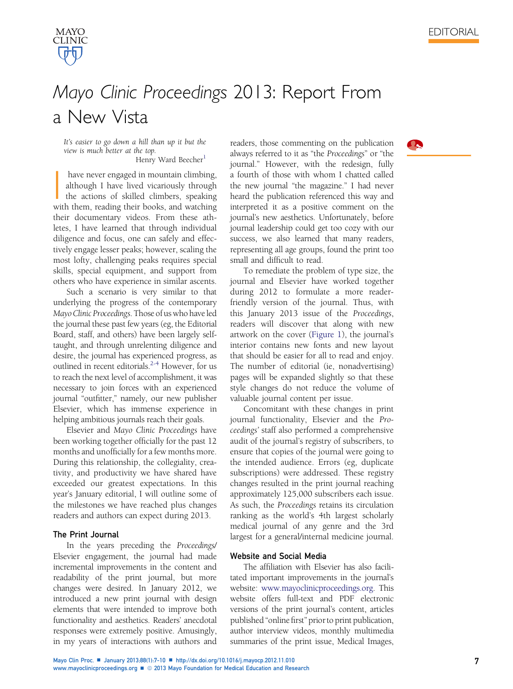

# Mayo Clinic Proceedings 2013: Report From a New Vista

It's easier to go down a hill than up it but the view is much better at the top. Henry Ward Beecher<sup>[1](#page-3-0)</sup>

 $\overline{\phantom{a}}$ <br>I<br>I wi have never engaged in mountain climbing, although I have lived vicariously through the actions of skilled climbers, speaking with them, reading their books, and watching their documentary videos. From these athletes, I have learned that through individual diligence and focus, one can safely and effectively engage lesser peaks; however, scaling the most lofty, challenging peaks requires special skills, special equipment, and support from others who have experience in similar ascents.

Such a scenario is very similar to that underlying the progress of the contemporary Mayo Clinic Proceedings. Those of us who have led the journal these past few years (eg, the Editorial Board, staff, and others) have been largely selftaught, and through unrelenting diligence and desire, the journal has experienced progress, as outlined in recent editorials.<sup>[2-4](#page-3-0)</sup> However, for us to reach the next level of accomplishment, it was necessary to join forces with an experienced journal "outfitter," namely, our new publisher Elsevier, which has immense experience in helping ambitious journals reach their goals.

Elsevier and Mayo Clinic Proceedings have been working together officially for the past 12 months and unofficially for a few months more. During this relationship, the collegiality, creativity, and productivity we have shared have exceeded our greatest expectations. In this year's January editorial, I will outline some of the milestones we have reached plus changes readers and authors can expect during 2013.

# The Print Journal

In the years preceding the Proceedings/ Elsevier engagement, the journal had made incremental improvements in the content and readability of the print journal, but more changes were desired. In January 2012, we introduced a new print journal with design elements that were intended to improve both functionality and aesthetics. Readers' anecdotal responses were extremely positive. Amusingly, in my years of interactions with authors and

readers, those commenting on the publication always referred to it as "the Proceedings" or "the journal." However, with the redesign, fully a fourth of those with whom I chatted called the new journal "the magazine." I had never heard the publication referenced this way and interpreted it as a positive comment on the journal's new aesthetics. Unfortunately, before journal leadership could get too cozy with our success, we also learned that many readers, representing all age groups, found the print too small and difficult to read.

To remediate the problem of type size, the journal and Elsevier have worked together during 2012 to formulate a more readerfriendly version of the journal. Thus, with this January 2013 issue of the Proceedings, readers will discover that along with new artwork on the cover [\(Figure 1\)](#page-1-0), the journal's interior contains new fonts and new layout that should be easier for all to read and enjoy. The number of editorial (ie, nonadvertising) pages will be expanded slightly so that these style changes do not reduce the volume of valuable journal content per issue.

Concomitant with these changes in print journal functionality, Elsevier and the Proceedings' staff also performed a comprehensive audit of the journal's registry of subscribers, to ensure that copies of the journal were going to the intended audience. Errors (eg, duplicate subscriptions) were addressed. These registry changes resulted in the print journal reaching approximately 125,000 subscribers each issue. As such, the Proceedings retains its circulation ranking as the world's 4th largest scholarly medical journal of any genre and the 3rd largest for a general/internal medicine journal.

### Website and Social Media

The affiliation with Elsevier has also facilitated important improvements in the journal's website: [www.mayoclinicproceedings.org](http://www.mayoclinicproceedings.org). This website offers full-text and PDF electronic versions of the print journal's content, articles published "online first" priorto print publication, author interview videos, monthly multimedia summaries of the print issue, Medical Images,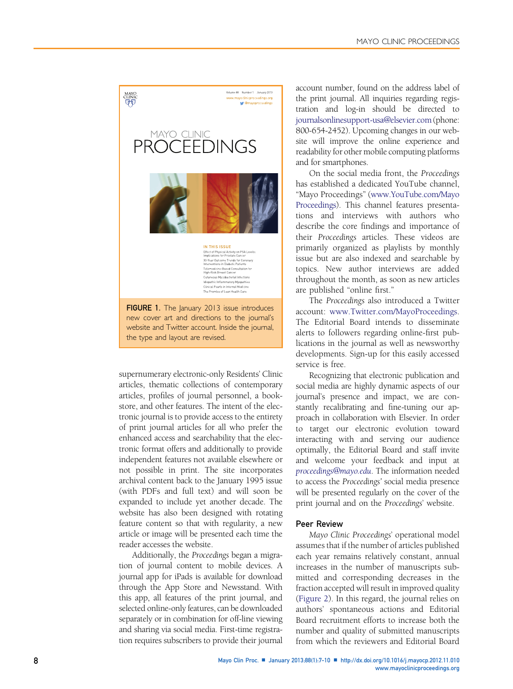<span id="page-1-0"></span>

supernumerary electronic-only Residents' Clinic articles, thematic collections of contemporary articles, profiles of journal personnel, a bookstore, and other features. The intent of the electronic journal is to provide access to the entirety of print journal articles for all who prefer the enhanced access and searchability that the electronic format offers and additionally to provide independent features not available elsewhere or not possible in print. The site incorporates archival content back to the January 1995 issue (with PDFs and full text) and will soon be expanded to include yet another decade. The website has also been designed with rotating feature content so that with regularity, a new article or image will be presented each time the reader accesses the website.

Additionally, the Proceedings began a migration of journal content to mobile devices. A journal app for iPads is available for download through the App Store and Newsstand. With this app, all features of the print journal, and selected online-only features, can be downloaded separately or in combination for off-line viewing and sharing via social media. First-time registration requires subscribers to provide their journal account number, found on the address label of the print journal. All inquiries regarding registration and log-in should be directed to [journalsonlinesupport-usa@elsevier.com](mailto:journalsonlinesupport-usa@elsevier.com)(phone: 800-654-2452). Upcoming changes in our website will improve the online experience and readability for other mobile computing platforms and for smartphones.

On the social media front, the Proceedings has established a dedicated YouTube channel, "Mayo Proceedings" ([www.YouTube.com/Mayo](http://www.YouTube.com/MayoProceedings) [Proceedings\)](http://www.YouTube.com/MayoProceedings). This channel features presentations and interviews with authors who describe the core findings and importance of their Proceedings articles. These videos are primarily organized as playlists by monthly issue but are also indexed and searchable by topics. New author interviews are added throughout the month, as soon as new articles are published "online first."

The Proceedings also introduced a Twitter account: [www.Twitter.com/MayoProceedings.](http://www.Twitter.com/MayoProceedings) The Editorial Board intends to disseminate alerts to followers regarding online-first publications in the journal as well as newsworthy developments. Sign-up for this easily accessed service is free.

Recognizing that electronic publication and social media are highly dynamic aspects of our journal's presence and impact, we are constantly recalibrating and fine-tuning our approach in collaboration with Elsevier. In order to target our electronic evolution toward interacting with and serving our audience optimally, the Editorial Board and staff invite and welcome your feedback and input at [proceedings@mayo.edu](mailto:proceedings@mayo.edu). The information needed to access the Proceedings' social media presence will be presented regularly on the cover of the print journal and on the Proceedings' website.

#### Peer Review

Mayo Clinic Proceedings' operational model assumes that if the number of articles published each year remains relatively constant, annual increases in the number of manuscripts submitted and corresponding decreases in the fraction accepted will result in improved quality ([Figure 2\)](#page-2-0). In this regard, the journal relies on authors' spontaneous actions and Editorial Board recruitment efforts to increase both the number and quality of submitted manuscripts from which the reviewers and Editorial Board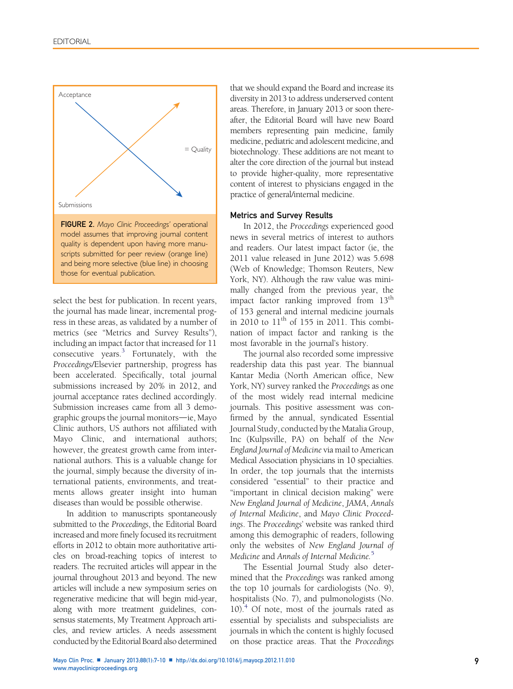<span id="page-2-0"></span>

select the best for publication. In recent years, the journal has made linear, incremental progress in these areas, as validated by a number of metrics (see "Metrics and Survey Results"), including an impact factor that increased for 11 consecutive years[.3](#page-3-0) Fortunately, with the Proceedings/Elsevier partnership, progress has been accelerated. Specifically, total journal submissions increased by 20% in 2012, and journal acceptance rates declined accordingly. Submission increases came from all 3 demographic groups the journal monitors-ie, Mayo Clinic authors, US authors not affiliated with Mayo Clinic, and international authors; however, the greatest growth came from international authors. This is a valuable change for the journal, simply because the diversity of international patients, environments, and treatments allows greater insight into human diseases than would be possible otherwise.

In addition to manuscripts spontaneously submitted to the Proceedings, the Editorial Board increased and more finely focused its recruitment efforts in 2012 to obtain more authoritative articles on broad-reaching topics of interest to readers. The recruited articles will appear in the journal throughout 2013 and beyond. The new articles will include a new symposium series on regenerative medicine that will begin mid-year, along with more treatment guidelines, consensus statements, My Treatment Approach articles, and review articles. A needs assessment conducted bythe Editorial Board also determined

that we should expand the Board and increase its diversity in 2013 to address underserved content areas. Therefore, in January 2013 or soon thereafter, the Editorial Board will have new Board members representing pain medicine, family medicine, pediatric and adolescent medicine, and biotechnology. These additions are not meant to alter the core direction of the journal but instead to provide higher-quality, more representative content of interest to physicians engaged in the practice of general/internal medicine.

#### Metrics and Survey Results

In 2012, the Proceedings experienced good news in several metrics of interest to authors and readers. Our latest impact factor (ie, the 2011 value released in June 2012) was 5.698 (Web of Knowledge; Thomson Reuters, New York, NY). Although the raw value was minimally changed from the previous year, the impact factor ranking improved from  $13<sup>th</sup>$ of 153 general and internal medicine journals in 2010 to  $11<sup>th</sup>$  of 155 in 2011. This combination of impact factor and ranking is the most favorable in the journal's history.

The journal also recorded some impressive readership data this past year. The biannual Kantar Media (North American office, New York, NY) survey ranked the Proceedings as one of the most widely read internal medicine journals. This positive assessment was confirmed by the annual, syndicated Essential Journal Study, conducted by the Matalia Group, Inc (Kulpsville, PA) on behalf of the New England Journal of Medicine via mail to American Medical Association physicians in 10 specialties. In order, the top journals that the internists considered "essential" to their practice and "important in clinical decision making" were New England Journal of Medicine, JAMA, Annals of Internal Medicine, and Mayo Clinic Proceedings. The Proceedings' website was ranked third among this demographic of readers, following only the websites of New England Journal of Medicine and Annals of Internal Medicine.<sup>[5](#page-3-0)</sup>

The Essential Journal Study also determined that the Proceedings was ranked among the top 10 journals for cardiologists (No. 9), hospitalists (No. 7), and pulmonologists (No.  $10$ .<sup>[4](#page-3-0)</sup> Of note, most of the journals rated as essential by specialists and subspecialists are journals in which the content is highly focused on those practice areas. That the Proceedings